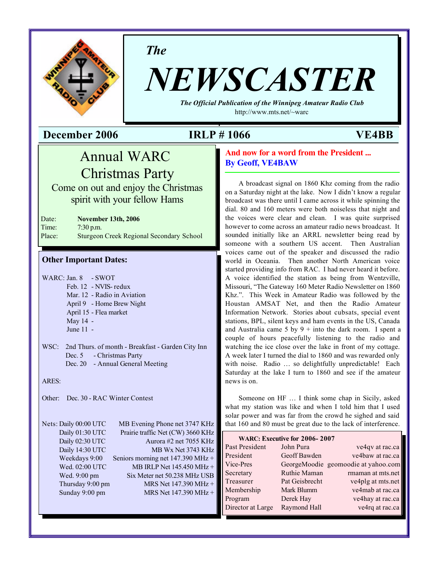

*The*

# *NEWSCASTER*

*The Official Publication of the Winnipeg Amateur Radio Club* <http://www.mts.net/~warc>

# **December 2006 IRLP # 1066 VE4BB**

# Annual WARC Christmas Party

Come on out and enjoy the Christmas spirit with your fellow Hams

| Date:  | November 13th, 2006                             |
|--------|-------------------------------------------------|
| Time:  | $7:30$ p.m.                                     |
| Place: | <b>Sturgeon Creek Regional Secondary School</b> |

# **Other Important Dates:**

WARC: Jan. 8 - SWOT Feb. 12 - NVIS- redux Mar. 12 - Radio in Aviation April 9 - Home Brew Night April 15 - Flea market May 14 - June 11 - WSC: 2nd Thurs. of month - Breakfast - Garden City Inn Dec. 5 - Christmas Party

Dec. 20 - Annual General Meeting

ARES:

Other: Dec. 30 - RAC Winter Contest

Nets: Daily 00:00 UTC MB Evening Phone net 3747 KHz Daily 01:30 UTC Prairie traffic Net (CW) 3660 KHz Daily 02:30 UTC Aurora #2 net 7055 KHz Daily 14:30 UTC MB Wx Net 3743 KHz Weekdays 9:00 Seniors morning net 147.390 MHz + Wed. 02:00 UTC MB IRLP Net 145.450 MHz + Wed. 9:00 pm Six Meter net 50.238 MHz USB Thursday 9:00 pm  $MRS$  Net 147.390 MHz + Sunday 9:00 pm MRS Net 147.390 MHz +

**And now for a word from the President ... By Geoff, VE4BAW**

A broadcast signal on 1860 Khz coming from the radio on a Saturday night at the lake. Now I didn't know a regular broadcast was there until I came across it while spinning the dial. 80 and 160 meters were both noiseless that night and the voices were clear and clean. I was quite surprised however to come across an amateur radio news broadcast. It sounded initially like an ARRL newsletter being read by someone with a southern US accent. Then Australian voices came out of the speaker and discussed the radio world in Oceania. Then another North American voice started providing info from RAC. I had never heard it before. A voice identified the station as being from Wentzville, Missouri, "The Gateway 160 Meter Radio Newsletter on 1860 Khz.". This Week in Amateur Radio was followed by the Houstan AMSAT Net, and then the Radio Amateur Information Network. Stories about cubsats, special event stations, BPL, silent keys and ham events in the US, Canada and Australia came 5 by  $9 +$  into the dark room. I spent a couple of hours peacefully listening to the radio and watching the ice close over the lake in front of my cottage. A week later I turned the dial to 1860 and was rewarded only with noise. Radio ... so delightfully unpredictable! Each Saturday at the lake I turn to 1860 and see if the amateur news is on.

Someone on HF … I think some chap in Sicily, asked what my station was like and when I told him that I used solar power and was far from the crowd he sighed and said that 160 and 80 must be great due to the lack of interference.

| WARC: Executive for 2006-2007 |                |                                     |  |  |  |
|-------------------------------|----------------|-------------------------------------|--|--|--|
| Past President                | John Pura      | ve4qv at rac.ca                     |  |  |  |
| President                     | Geoff Bawden   | ve4baw at rac.ca                    |  |  |  |
| Vice-Pres                     |                | GeorgeMoodie geomoodie at yahoo.com |  |  |  |
| Secretary                     | Ruthie Maman   | rmaman at mts.net                   |  |  |  |
| Treasurer                     | Pat Geisbrecht | ve4plg at mts.net                   |  |  |  |
| Membership                    | Mark Blumm     | ve4mab at rac.ca                    |  |  |  |
| Program                       | Derek Hay      | ve4hay at rac.ca                    |  |  |  |
| Director at Large             | Raymond Hall   | ve4rq at rac.ca                     |  |  |  |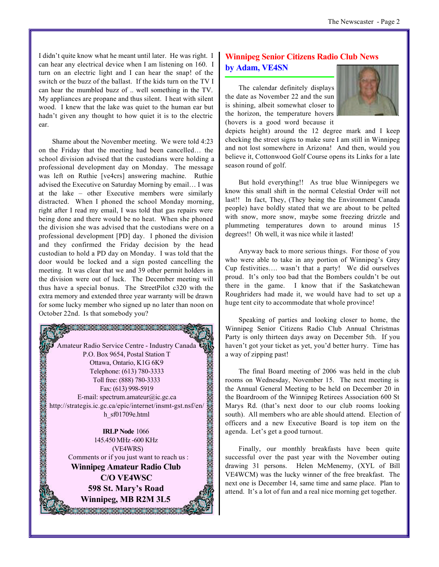I didn't quite know what he meant until later. He was right. I can hear any electrical device when I am listening on 160. I turn on an electric light and I can hear the snap! of the switch or the buzz of the ballast. If the kids turn on the TV I can hear the mumbled buzz of .. well something in the TV. My appliances are propane and thus silent. I heat with silent wood. I knew that the lake was quiet to the human ear but hadn't given any thought to how quiet it is to the electric ear.

Shame about the November meeting. We were told 4:23 on the Friday that the meeting had been cancelled… the school division advised that the custodians were holding a professional development day on Monday. The message was left on Ruthie [ve4crs] answering machine. Ruthie advised the Executive on Saturday Morning by email… I was at the lake – other Executive members were similarly distracted. When I phoned the school Monday morning, right after I read my email, I was told that gas repairs were being done and there would be no heat. When she phoned the division she was advised that the custodians were on a professional development [PD] day. I phoned the division and they confirmed the Friday decision by the head custodian to hold a PD day on Monday. I was told that the door would be locked and a sign posted cancelling the meeting. It was clear that we and 39 other permit holders in the division were out of luck. The December meeting will thus have a special bonus. The StreetPilot c320 with the extra memory and extended three year warranty will be drawn for some lucky member who signed up no later than noon on October 22nd. Is that somebody you?



8038038038038038038038038

# **Winnipeg Senior Citizens Radio Club News by Adam, VE4SN**

The calendar definitely displays the date as November 22 and the sun is shining, albeit somewhat closer to the horizon, the temperature hovers (hovers is a good word because it



depicts height) around the 12 degree mark and I keep checking the street signs to make sure I am still in Winnipeg and not lost somewhere in Arizona! And then, would you believe it, Cottonwood Golf Course opens its Links for a late season round of golf.

But hold everything!! As true blue Winnipegers we know this small shift in the normal Celestial Order will not last!! In fact, They, (They being the Environment Canada people) have boldly stated that we are about to be pelted with snow, more snow, maybe some freezing drizzle and plummeting temperatures down to around minus 15 degrees!! Oh well, it was nice while it lasted!

Anyway back to more serious things. For those of you who were able to take in any portion of Winnipeg's Grey Cup festivities…. wasn't that a party! We did ourselves proud. It's only too bad that the Bombers couldn't be out there in the game. I know that if the Saskatchewan Roughriders had made it, we would have had to set up a huge tent city to accommodate that whole province!

Speaking of parties and looking closer to home, the Winnipeg Senior Citizens Radio Club Annual Christmas Party is only thirteen days away on December 5th. If you haven't got your ticket as yet, you'd better hurry. Time has a way of zipping past!

The final Board meeting of 2006 was held in the club rooms on Wednesday, November 15. The next meeting is the Annual General Meeting to be held on December 20 in the Boardroom of the Winnipeg Retirees Association 600 St Marys Rd. (that's next door to our club rooms looking south). All members who are able should attend. Election of officers and a new Executive Board is top item on the agenda. Let's get a good turnout.

Finally, our monthly breakfasts have been quite successful over the past year with the November outing drawing 31 persons. Helen McMenemy, (XYL of Bill VE4WCM) was the lucky winner of the free breakfast. The next one is December 14, same time and same place. Plan to attend. It's a lot of fun and a real nice morning get together.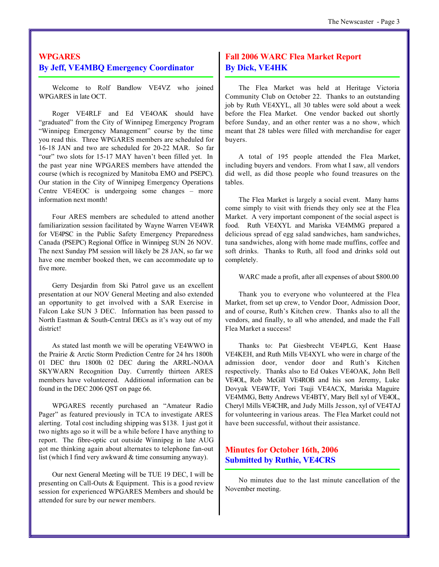# **WPGARES By Jeff, VE4MBQ Emergency Coordinator**

Welcome to Rolf Bandlow VE4VZ who joined WPGARES in late OCT.

Roger VE4RLF and Ed VE4OAK should have "graduated" from the City of Winnipeg Emergency Program "Winnipeg Emergency Management" course by the time you read this. Three WPGARES members are scheduled for 16-18 JAN and two are scheduled for 20-22 MAR. So far "our" two slots for 15-17 MAY haven't been filled yet. In the past year nine WPGARES members have attended the course (which is recognized by Manitoba EMO and PSEPC). Our station in the City of Winnipeg Emergency Operations Centre VE4EOC is undergoing some changes – more information next month!

Four ARES members are scheduled to attend another familiarization session facilitated by Wayne Warren VE4WR for VE4PSC in the Public Safety Emergency Preparedness Canada (PSEPC) Regional Office in Winnipeg SUN 26 NOV. The next Sunday PM session will likely be 28 JAN, so far we have one member booked then, we can accommodate up to five more.

Gerry Desjardin from Ski Patrol gave us an excellent presentation at our NOV General Meeting and also extended an opportunity to get involved with a SAR Exercise in Falcon Lake SUN 3 DEC. Information has been passed to North Eastman & South-Central DECs as it's way out of my district!

As stated last month we will be operating VE4WWO in the Prairie & Arctic Storm Prediction Centre for 24 hrs 1800h 01 DEC thru 1800h 02 DEC during the ARRL-NOAA SKYWARN Recognition Day. Currently thirteen ARES members have volunteered. Additional information can be found in the DEC 2006 QST on page 66.

WPGARES recently purchased an "Amateur Radio Pager" as featured previously in TCA to investigate ARES alerting. Total cost including shipping was \$138. I just got it two nights ago so it will be a while before I have anything to report. The fibre-optic cut outside Winnipeg in late AUG got me thinking again about alternates to telephone fan-out list (which I find very awkward & time consuming anyway).

Our next General Meeting will be TUE 19 DEC, I will be presenting on Call-Outs & Equipment. This is a good review session for experienced WPGARES Members and should be attended for sure by our newer members.

# **Fall 2006 WARC Flea Market Report By Dick, VE4HK**

The Flea Market was held at Heritage Victoria Community Club on October 22. Thanks to an outstanding job by Ruth VE4XYL, all 30 tables were sold about a week before the Flea Market. One vendor backed out shortly before Sunday, and an other renter was a no show, which meant that 28 tables were filled with merchandise for eager buyers.

A total of 195 people attended the Flea Market, including buyers and vendors. From what I saw, all vendors did well, as did those people who found treasures on the tables.

The Flea Market is largely a social event. Many hams come simply to visit with friends they only see at the Flea Market. A very important component of the social aspect is food. Ruth VE4XYL and Mariska VE4MMG prepared a delicious spread of egg salad sandwiches, ham sandwiches, tuna sandwiches, along with home made muffins, coffee and soft drinks. Thanks to Ruth, all food and drinks sold out completely.

WARC made a profit, after all expenses of about \$800.00

Thank you to everyone who volunteered at the Flea Market, from set up crew, to Vendor Door, Admission Door, and of course, Ruth's Kitchen crew. Thanks also to all the vendors, and finally, to all who attended, and made the Fall Flea Market a success!

Thanks to: Pat Giesbrecht VE4PLG, Kent Haase VE4KEH, and Ruth Mills VE4XYL who were in charge of the admission door, vendor door and Ruth's Kitchen respectively. Thanks also to Ed Oakes VE4OAK, John Bell VE4OL, Rob McGill VE4ROB and his son Jeremy, Luke Dovyak VE4WTF, Yori Tsuji VE4ACX, Mariska Maguire VE4MMG, Betty Andrews VE4BTY, Mary Bell xyl of VE4OL, Cheryl Mills VE4CHR, and Judy Mills Jesson, xyl of VE4TAJ for volunteering in various areas. The Flea Market could not have been successful, without their assistance.

# **Minutes for October 16th, 2006 Submitted by Ruthie, VE4CRS**

No minutes due to the last minute cancellation of the November meeting.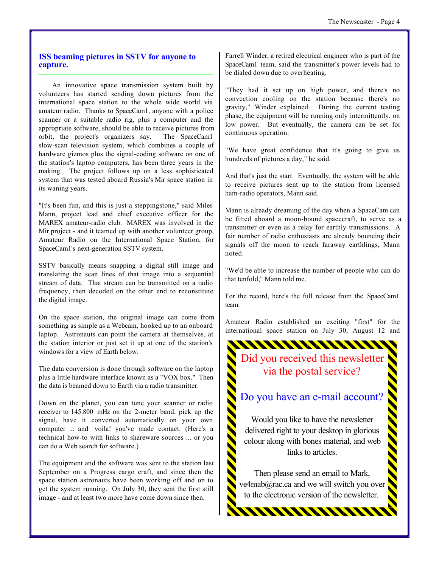# **ISS beaming pictures in SSTV for anyone to capture.**

An innovative space transmission system built by volunteers has started sending down pictures from the international space station to the whole wide world via amateur radio. Thanks to SpaceCam1, anyone with a police scanner or a suitable radio rig, plus a computer and the appropriate software, should be able to receive pictures from orbit, the project's organizers say. The SpaceCam1 slow-scan television system, which combines a couple of hardware gizmos plus the signal-coding software on one of the station's laptop computers, has been three years in the making. The project follows up on a less sophisticated system that was tested aboard Russia's Mir space station in its waning years.

"It's been fun, and this is just a steppingstone," said Miles Mann, project lead and chief executive officer for the MAREX amateur-radio club. MAREX was involved in the Mir project - and it teamed up with another volunteer group, Amateur Radio on the International Space Station, for SpaceCam1's next-generation SSTV system.

SSTV basically means snapping a digital still image and translating the scan lines of that image into a sequential stream of data. That stream can be transmitted on a radio frequency, then decoded on the other end to reconstitute the digital image.

On the space station, the original image can come from something as simple as a Webcam, hooked up to an onboard laptop. Astronauts can point the camera at themselves, at the station interior or just set it up at one of the station's windows for a view of Earth below.

The data conversion is done through software on the laptop plus a little hardware interface known as a "VOX box." Then the data is beamed down to Earth via a radio transmitter.

Down on the planet, you can tune your scanner or radio receiver to 145.800 mHz on the 2-meter band, pick up the signal, have it converted automatically on your own computer ... and voila! you've made contact. (Here's a technical how-to with links to shareware sources ... or you can do a Web search for software.)

The equipment and the software was sent to the station last September on a Progress cargo craft, and since then the space station astronauts have been working off and on to get the system running. On July 30, they sent the first still image - and at least two more have come down since then.

Farrell Winder, a retired electrical engineer who is part of the SpaceCam1 team, said the transmitter's power levels had to be dialed down due to overheating.

"They had it set up on high power, and there's no convection cooling on the station because there's no gravity," Winder explained. During the current testing phase, the equipment will be running only intermittently, on low power. But eventually, the camera can be set for continuous operation.

"We have great confidence that it's going to give us hundreds of pictures a day," he said.

And that's just the start. Eventually, the system will be able to receive pictures sent up to the station from licensed ham-radio operators, Mann said.

Mann is already dreaming of the day when a SpaceCam can be fitted aboard a moon-bound spacecraft, to serve as a transmitter or even as a relay for earthly transmissions. A fair number of radio enthusiasts are already bouncing their signals off the moon to reach faraway earthlings, Mann noted.

"We'd be able to increase the number of people who can do that tenfold," Mann told me.

For the record, here's the full release from the SpaceCam1 team:

Amateur Radio established an exciting "first" for the international space station on July 30, August 12 and

<u>MANAMANA</u>

# Did you received this newsletter via the postal service?

Do you have an e-mail account?

Would you like to have the newsletter delivered right to your desktop in glorious colour along with bones material, and web links to articles

Then please send an email to Mark, ve4mab@rac.ca and we will switch you over to the electronic version of the newsletter.

WWWWWWW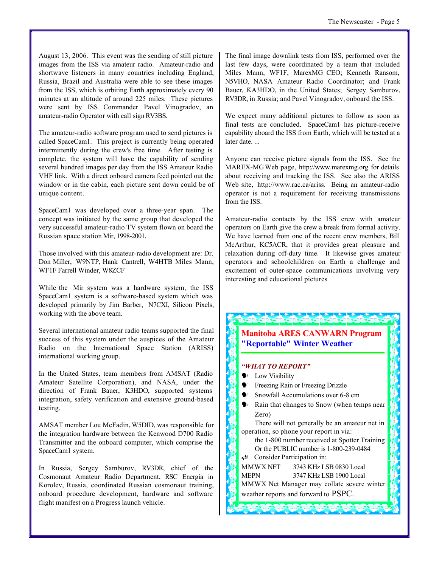August 13, 2006. This event was the sending of still picture images from the ISS via amateur radio. Amateur-radio and shortwave listeners in many countries including England, Russia, Brazil and Australia were able to see these images from the ISS, which is orbiting Earth approximately every 90 minutes at an altitude of around 225 miles. These pictures were sent by ISS Commander Pavel Vinogradov, an amateur-radio Operator with call sign RV3BS.

The amateur-radio software program used to send pictures is called SpaceCam1. This project is currently being operated intermittently during the crew's free time. After testing is complete, the system will have the capability of sending several hundred images per day from the ISS Amateur Radio VHF link. With a direct onboard camera feed pointed out the window or in the cabin, each picture sent down could be of unique content.

SpaceCam1 was developed over a three-year span. The concept was initiated by the same group that developed the very successful amateur-radio TV system flown on board the Russian space station Mir, 1998-2001.

Those involved with this amateur-radio development are: Dr. Don Miller, W9NTP, Hank Cantrell, W4HTB Miles Mann, WF1F Farrell Winder, W8ZCF

While the Mir system was a hardware system, the ISS SpaceCam1 system is a software-based system which was developed primarily by Jim Barber, N7CXI, Silicon Pixels, working with the above team.

Several international amateur radio teams supported the final success of this system under the auspices of the Amateur Radio on the International Space Station (ARISS) international working group.

In the United States, team members from AMSAT (Radio Amateur Satellite Corporation), and NASA, under the direction of Frank Bauer, K3HDO, supported systems integration, safety verification and extensive ground-based testing.

AMSAT member Lou McFadin, W5DID, was responsible for the integration hardware between the Kenwood D700 Radio Transmitter and the onboard computer, which comprise the SpaceCam1 system.

In Russia, Sergey Samburov, RV3DR, chief of the Cosmonaut Amateur Radio Department, RSC Energia in Korolev, Russia, coordinated Russian cosmonaut training, onboard procedure development, hardware and software flight manifest on a Progress launch vehicle.

The final image downlink tests from ISS, performed over the last few days, were coordinated by a team that included Miles Mann, WF1F, MarexMG CEO; Kenneth Ransom, N5VHO, NASA Amateur Radio Coordinator; and Frank Bauer, KA3HDO, in the United States; Sergey Samburov, RV3DR, in Russia; and Pavel Vinogradov, onboard the ISS.

We expect many additional pictures to follow as soon as final tests are concluded. SpaceCam1 has picture-receive capability aboard the ISS from Earth, which will be tested at a later date. ...

Anyone can receive picture signals from the ISS. See the MAREX-MG Web page, <http://www.marexmg.org> for details about receiving and tracking the ISS. See also the ARISS Web site, [http://www.rac.ca/ariss.](http://www.rac.ca/ariss) Being an amateur-radio operator is not a requirement for receiving transmissions from the ISS.

Amateur-radio contacts by the ISS crew with amateur operators on Earth give the crew a break from formal activity. We have learned from one of the recent crew members, Bill McArthur, KC5ACR, that it provides great pleasure and relaxation during off-duty time. It likewise gives amateur operators and schoolchildren on Earth a challenge and excitement of outer-space communications involving very interesting and educational pictures

# **Manitoba ARES CANWARN Program "Reportable" Winter Weather**

## *"WHAT TO REPORT"*

- $\bullet$  Low Visibility
- **•** Freezing Rain or Freezing Drizzle
- $\bullet$  Snowfall Accumulations over 6-8 cm
- $\triangleq$  Rain that changes to Snow (when temps near Zero)

There will not generally be an amateur net in operation, so phone your report in via:

- the 1-800 number received at Spotter Training Or the PUBLIC number is 1-800-239-0484
- $\triangleleft$  Consider Participation in:

MMWX NET 3743 KHz LSB 0830 Local MEPN 3747 KHz LSB 1900 Local MMWX Net Manager may collate severe winter weather reports and forward to PSPC.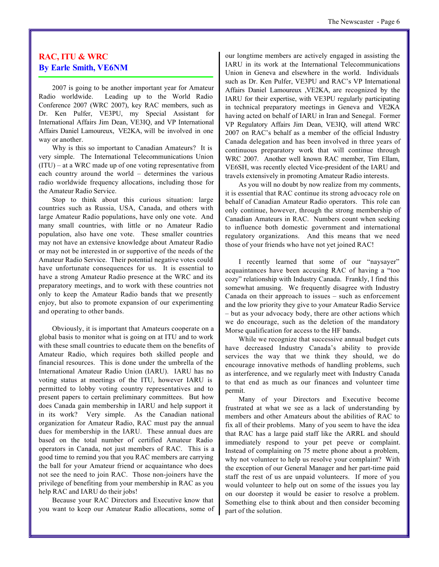# **RAC, ITU & WRC By Earle Smith, VE6NM**

2007 is going to be another important year for Amateur Radio worldwide. Leading up to the World Radio Conference 2007 (WRC 2007), key RAC members, such as Dr. Ken Pulfer, VE3PU, my Special Assistant for International Affairs Jim Dean, VE3IQ, and VP International Affairs Daniel Lamoureux, VE2KA, will be involved in one way or another.

Why is this so important to Canadian Amateurs? It is very simple. The International Telecommunications Union (ITU) – at a WRC made up of one voting representative from each country around the world – determines the various radio worldwide frequency allocations, including those for the Amateur Radio Service.

Stop to think about this curious situation: large countries such as Russia, USA, Canada, and others with large Amateur Radio populations, have only one vote. And many small countries, with little or no Amateur Radio population, also have one vote. These smaller countries may not have an extensive knowledge about Amateur Radio or may not be interested in or supportive of the needs of the Amateur Radio Service. Their potential negative votes could have unfortunate consequences for us. It is essential to have a strong Amateur Radio presence at the WRC and its preparatory meetings, and to work with these countries not only to keep the Amateur Radio bands that we presently enjoy, but also to promote expansion of our experimenting and operating to other bands.

Obviously, it is important that Amateurs cooperate on a global basis to monitor what is going on at ITU and to work with these small countries to educate them on the benefits of Amateur Radio, which requires both skilled people and financial resources. This is done under the umbrella of the International Amateur Radio Union (IARU). IARU has no voting status at meetings of the ITU, however IARU is permitted to lobby voting country representatives and to present papers to certain preliminary committees. But how does Canada gain membership in IARU and help support it in its work? Very simple. As the Canadian national organization for Amateur Radio, RAC must pay the annual dues for membership in the IARU. These annual dues are based on the total number of certified Amateur Radio operators in Canada, not just members of RAC. This is a good time to remind you that you RAC members are carrying the ball for your Amateur friend or acquaintance who does not see the need to join RAC. Those non-joiners have the privilege of benefiting from your membership in RAC as you help RAC and IARU do their jobs!

Because your RAC Directors and Executive know that you want to keep our Amateur Radio allocations, some of our longtime members are actively engaged in assisting the IARU in its work at the International Telecommunications Union in Geneva and elsewhere in the world. Individuals such as Dr. Ken Pulfer, VE3PU and RAC's VP International Affairs Daniel Lamoureux ,VE2KA, are recognized by the IARU for their expertise, with VE3PU regularly participating in technical preparatory meetings in Geneva and VE2KA having acted on behalf of IARU in Iran and Senegal. Former VP Regulatory Affairs Jim Dean, VE3IQ, will attend WRC 2007 on RAC's behalf as a member of the official Industry Canada delegation and has been involved in three years of continuous preparatory work that will continue through WRC 2007. Another well known RAC member, Tim Ellam, VE6SH, was recently elected Vice-president of the IARU and travels extensively in promoting Amateur Radio interests.

As you will no doubt by now realize from my comments, it is essential that RAC continue its strong advocacy role on behalf of Canadian Amateur Radio operators. This role can only continue, however, through the strong membership of Canadian Amateurs in RAC. Numbers count when seeking to influence both domestic government and international regulatory organizations. And this means that we need those of your friends who have not yet joined RAC!

I recently learned that some of our "naysayer" acquaintances have been accusing RAC of having a "too cozy" relationship with Industry Canada. Frankly, I find this somewhat amusing. We frequently disagree with Industry Canada on their approach to issues – such as enforcement and the low priority they give to your Amateur Radio Service – but as your advocacy body, there are other actions which we do encourage, such as the deletion of the mandatory Morse qualification for access to the HF bands.

While we recognize that successive annual budget cuts have decreased Industry Canada's ability to provide services the way that we think they should, we do encourage innovative methods of handling problems, such as interference, and we regularly meet with Industry Canada to that end as much as our finances and volunteer time permit.

Many of your Directors and Executive become frustrated at what we see as a lack of understanding by members and other Amateurs about the abilities of RAC to fix all of their problems. Many of you seem to have the idea that RAC has a large paid staff like the ARRL and should immediately respond to your pet peeve or complaint. Instead of complaining on 75 metre phone about a problem, why not volunteer to help us resolve your complaint? With the exception of our General Manager and her part-time paid staff the rest of us are unpaid volunteers. If more of you would volunteer to help out on some of the issues you lay on our doorstep it would be easier to resolve a problem. Something else to think about and then consider becoming part of the solution.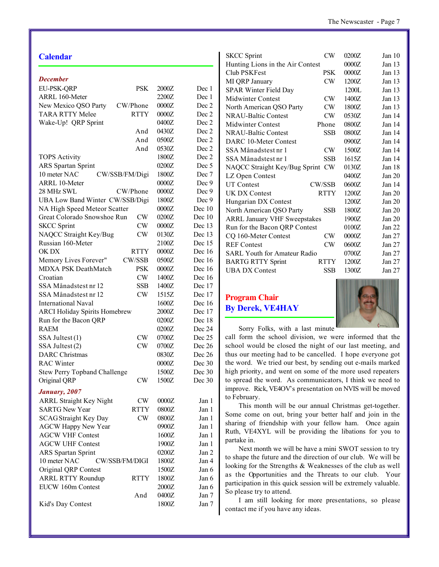# **Calendar**

| <b>December</b>                               |                      |                |
|-----------------------------------------------|----------------------|----------------|
| <b>EU-PSK-QRP</b>                             | <b>PSK</b><br>2000Z  | Dec 1          |
| ARRL 160-Meter                                | 2200Z                | Dec 1          |
| New Mexico QSO Party<br>CW/Phone              | 0000Z                | Dec 2          |
| <b>TARA RTTY Melee</b><br><b>RTTY</b>         | 0000Z                | Dec 2          |
| Wake-Up! QRP Sprint                           | 0400Z                | Dec 2          |
|                                               | 0430Z<br>And         | Dec 2          |
|                                               | And<br>0500Z         | Dec 2          |
|                                               | And<br>0530Z         | Dec 2          |
| <b>TOPS Activity</b>                          | 1800Z                | Dec 2          |
| <b>ARS</b> Spartan Sprint                     | 0200Z                | Dec 5          |
| 10 meter NAC<br>CW/SSB/FM/Digi                | 1800Z                | Dec 7          |
| <b>ARRL 10-Meter</b>                          | 0000Z                | Dec 9          |
| 28 MHz SWL<br>CW/Phone                        | 0000Z                | Dec 9          |
| UBA Low Band Winter CW/SSB/Digi               | 1800Z                | Dec 9          |
| NA High Speed Meteor Scatter                  | 0000Z                | Dec $10$       |
| Great Colorado Snowshoe Run                   | CW<br>0200Z          | Dec $10$       |
| <b>SKCC</b> Sprint                            | CW<br>0000Z          | Dec 13         |
| NAQCC Straight Key/Bug                        | CW<br>0130Z          | Dec 13         |
| Russian 160-Meter                             | 2100Z                | Dec 15         |
| OK DX<br><b>RTTY</b>                          | 0000Z                | Dec 16         |
| Memory Lives Forever"<br>CW/SSB               | 0500Z                | Dec 16         |
| MDXA PSK DeathMatch                           | <b>PSK</b><br>0000Z  | Dec 16         |
| Croatian                                      | CW<br>1400Z          | Dec 16         |
| SSA Månadstest nr 12                          | <b>SSB</b><br>1400Z  | Dec 17         |
| SSA Månadstest nr 12                          | CW<br>1515Z          | Dec 17         |
| <b>International Naval</b>                    | 1600Z                | Dec 16         |
| <b>ARCI Holiday Spirits Homebrew</b>          | 2000Z                | Dec 17         |
| Run for the Bacon QRP                         | 0200Z                | Dec 18         |
| <b>RAEM</b>                                   | 0200Z                | Dec 24         |
| SSA Jultest (1)                               | CW<br>0700Z          | Dec 25         |
| SSA Jultest (2)                               | CW<br>0700Z          | Dec 26         |
| <b>DARC</b> Christmas                         | 0830Z                | Dec 26         |
| <b>RAC Winter</b>                             | 0000Z                | Dec 30         |
| <b>Stew Perry Topband Challenge</b>           | 1500Z                | Dec 30         |
| Original QRP                                  | CW<br>1500Z          | Dec 30         |
| January, 2007                                 |                      |                |
|                                               |                      |                |
| <b>ARRL Straight Key Night</b><br><b>RTTY</b> | $\text{CW}$<br>0000Z | Jan 1<br>Jan 1 |
| <b>SARTG New Year</b>                         | 0800Z                |                |
| <b>SCAG Straight Key Day</b>                  | CW<br>0800Z          | Jan 1          |
| <b>AGCW Happy New Year</b>                    | 0900Z                | Jan 1          |
| <b>AGCW VHF Contest</b>                       | 1600Z                | Jan 1          |
| <b>AGCW UHF Contest</b>                       | 1900Z                | Jan 1          |
| <b>ARS</b> Spartan Sprint                     | $0200Z$              | Jan 2          |
| 10 meter NAC<br>CW/SSB/FM/DIGI                | 1800Z                | Jan 4          |
| Original QRP Contest                          | 1500Z                | Jan 6          |
| <b>ARRL RTTY Roundup</b><br><b>RTTY</b>       | 1800Z                | Jan 6          |
| EUCW 160m Contest                             | $2000Z$              | Jan 6          |
| And                                           | 0400Z                | Jan 7          |
| Kid's Day Contest                             | 1800Z                | Jan 7          |
|                                               |                      |                |

| <b>SKCC Sprint</b>                  | CW              | 0200Z  | Jan $10$          |
|-------------------------------------|-----------------|--------|-------------------|
| Hunting Lions in the Air Contest    |                 | 0000Z  | Jan <sub>13</sub> |
| Club PSKFest                        | <b>PSK</b>      | 0000Z  | Jan <sub>13</sub> |
| MI QRP January                      | CW              | 1200Z  | Jan $13$          |
| SPAR Winter Field Day               |                 | 1200L  | Jan <sub>13</sub> |
| <b>Midwinter Contest</b>            | CW              | 1400Z  | Jan $13$          |
| North American QSO Party            | CW              | 1800Z  | Jan 13            |
| <b>NRAU-Baltic Contest</b>          | CW              | 0530Z  | Jan 14            |
| <b>Midwinter Contest</b>            | Phone           | 0800Z  | Jan 14            |
| <b>NRAU-Baltic Contest</b>          | <b>SSB</b>      | 0800Z  | Jan 14            |
| DARC 10-Meter Contest               |                 | 0900Z  | Jan 14            |
| SSA Månadstest nr 1                 | CW <sup>-</sup> | 1500Z  | Jan 14            |
| SSA Månadstest nr 1                 | <b>SSB</b>      | 1615Z  | Jan 14            |
| NAQCC Straight Key/Bug Sprint       | CW              | 0130Z  | Jan 18            |
| LZ Open Contest                     |                 | 0400Z  | Jan 20            |
| <b>UT</b> Contest                   | <b>CW/SSB</b>   | 0600Z  | Jan 14            |
| <b>UK DX Contest</b>                | <b>RTTY</b>     | 1200Z  | Jan 20            |
| Hungarian DX Contest                |                 | 1200Z  | Jan 20            |
| North American QSO Party            | <b>SSB</b>      | 1800Z  | Jan 20            |
| <b>ARRL January VHF Sweepstakes</b> | 1900Z           | Jan 20 |                   |
| Run for the Bacon QRP Contest       | 0100Z           | Jan 22 |                   |
| CQ 160-Meter Contest                | CW              | 0000Z  | Jan 27            |
| <b>REF Contest</b><br>CW            |                 | 0600Z  | Jan 27            |
| <b>SARL Youth for Amateur Radio</b> | 0700Z           | Jan 27 |                   |
| <b>BARTG RTTY Sprint</b>            | <b>RTTY</b>     | 1200Z  | Jan 27            |
| <b>UBA DX Contest</b>               | <b>SSB</b>      | 1300Z  | Jan 27            |
|                                     |                 |        |                   |

# **Program Chair By Derek, VE4HAY**



Sorry Folks, with a last minute call form the school division, we were informed that the school would be closed the night of our last meeting, and thus our meeting had to be cancelled. I hope everyone got the word. We tried our best, by sending out e-mails marked high priority, and went on some of the more used repeaters to spread the word. As communicators, I think we need to improve. Rick, VE4OV's presentation on NVIS will be moved to February.

This month will be our annual Christmas get-together. Some come on out, bring your better half and join in the sharing of friendship with your fellow ham. Once again Ruth, VE4XYL will be providing the libations for you to partake in.

Next month we will be have a mini SWOT session to try to shape the future and the direction of our club. We will be looking for the Strengths & Weaknesses of the club as well as the Opportunities and the Threats to our club. Your participation in this quick session will be extremely valuable. So please try to attend.

I am still looking for more presentations, so please contact me if you have any ideas.